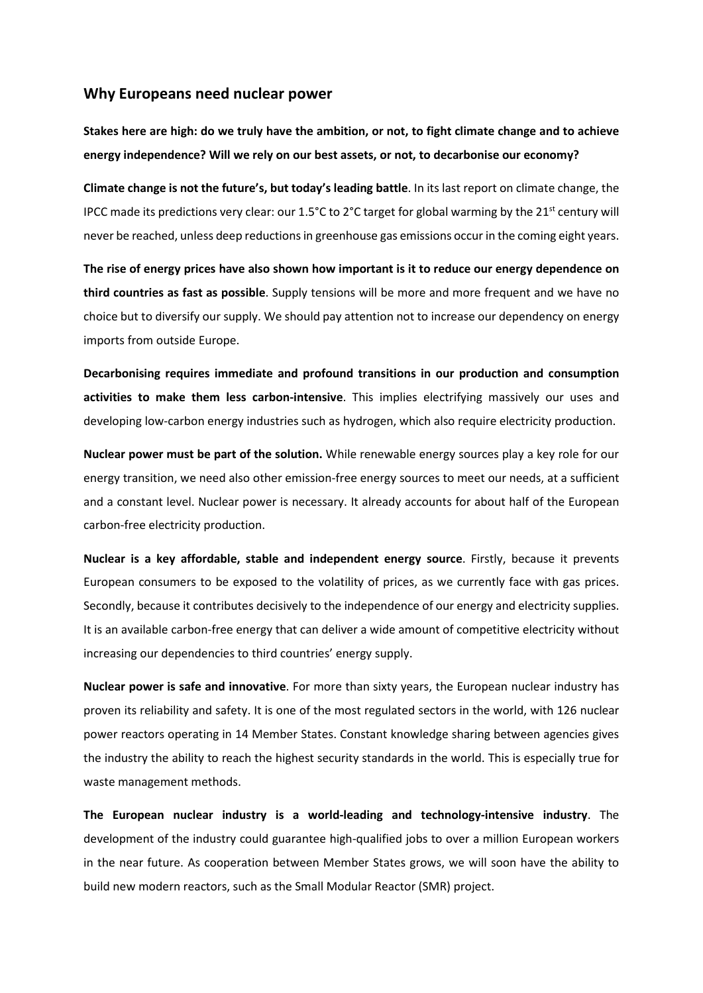## **Why Europeans need nuclear power**

**Stakes here are high: do we truly have the ambition, or not, to fight climate change and to achieve energy independence? Will we rely on our best assets, or not, to decarbonise our economy?**

**Climate change is not the future's, but today's leading battle**. In its last report on climate change, the IPCC made its predictions very clear: our 1.5°C to 2°C target for global warming by the 21<sup>st</sup> century will never be reached, unless deep reductions in greenhouse gas emissions occur in the coming eight years.

**The rise of energy prices have also shown how important is it to reduce our energy dependence on third countries as fast as possible**. Supply tensions will be more and more frequent and we have no choice but to diversify our supply. We should pay attention not to increase our dependency on energy imports from outside Europe.

**Decarbonising requires immediate and profound transitions in our production and consumption activities to make them less carbon-intensive**. This implies electrifying massively our uses and developing low-carbon energy industries such as hydrogen, which also require electricity production.

**Nuclear power must be part of the solution.** While renewable energy sources play a key role for our energy transition, we need also other emission-free energy sources to meet our needs, at a sufficient and a constant level. Nuclear power is necessary. It already accounts for about half of the European carbon-free electricity production.

**Nuclear is a key affordable, stable and independent energy source**. Firstly, because it prevents European consumers to be exposed to the volatility of prices, as we currently face with gas prices. Secondly, because it contributes decisively to the independence of our energy and electricity supplies. It is an available carbon-free energy that can deliver a wide amount of competitive electricity without increasing our dependencies to third countries' energy supply.

**Nuclear power is safe and innovative**. For more than sixty years, the European nuclear industry has proven its reliability and safety. It is one of the most regulated sectors in the world, with 126 nuclear power reactors operating in 14 Member States. Constant knowledge sharing between agencies gives the industry the ability to reach the highest security standards in the world. This is especially true for waste management methods.

**The European nuclear industry is a world-leading and technology-intensive industry**. The development of the industry could guarantee high-qualified jobs to over a million European workers in the near future. As cooperation between Member States grows, we will soon have the ability to build new modern reactors, such as the Small Modular Reactor (SMR) project.